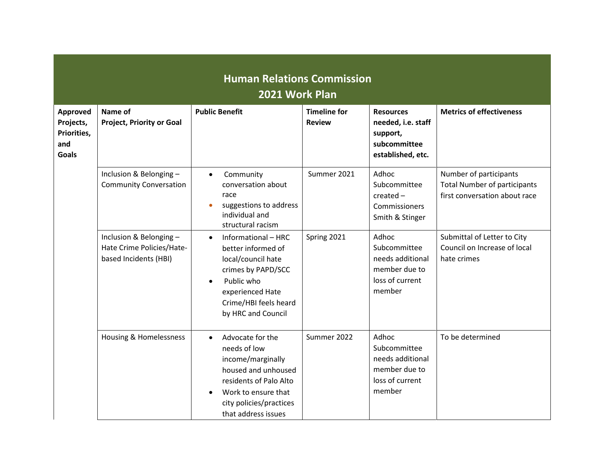| <b>Human Relations Commission</b><br>2021 Work Plan                |                                                                              |                                                                                                                                                                                              |                                      |                                                                                         |                                                                                                |
|--------------------------------------------------------------------|------------------------------------------------------------------------------|----------------------------------------------------------------------------------------------------------------------------------------------------------------------------------------------|--------------------------------------|-----------------------------------------------------------------------------------------|------------------------------------------------------------------------------------------------|
| <b>Approved</b><br>Projects,<br>Priorities,<br>and<br><b>Goals</b> | Name of<br><b>Project, Priority or Goal</b>                                  | <b>Public Benefit</b>                                                                                                                                                                        | <b>Timeline for</b><br><b>Review</b> | <b>Resources</b><br>needed, i.e. staff<br>support,<br>subcommittee<br>established, etc. | <b>Metrics of effectiveness</b>                                                                |
|                                                                    | Inclusion & Belonging-<br><b>Community Conversation</b>                      | Community<br>$\bullet$<br>conversation about<br>race<br>suggestions to address<br>individual and<br>structural racism                                                                        | Summer 2021                          | Adhoc<br>Subcommittee<br>$created -$<br>Commissioners<br>Smith & Stinger                | Number of participants<br><b>Total Number of participants</b><br>first conversation about race |
|                                                                    | Inclusion & Belonging-<br>Hate Crime Policies/Hate-<br>based Incidents (HBI) | Informational - HRC<br>better informed of<br>local/council hate<br>crimes by PAPD/SCC<br>Public who<br>$\bullet$<br>experienced Hate<br>Crime/HBI feels heard<br>by HRC and Council          | Spring 2021                          | Adhoc<br>Subcommittee<br>needs additional<br>member due to<br>loss of current<br>member | Submittal of Letter to City<br>Council on Increase of local<br>hate crimes                     |
|                                                                    | Housing & Homelessness                                                       | Advocate for the<br>$\bullet$<br>needs of low<br>income/marginally<br>housed and unhoused<br>residents of Palo Alto<br>Work to ensure that<br>city policies/practices<br>that address issues | Summer 2022                          | Adhoc<br>Subcommittee<br>needs additional<br>member due to<br>loss of current<br>member | To be determined                                                                               |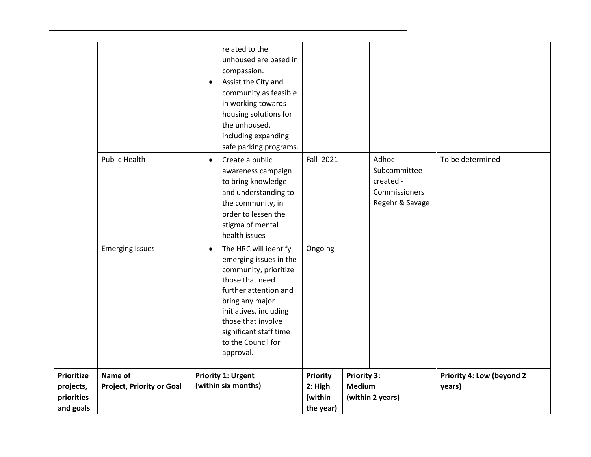| <b>Prioritize</b><br>projects,<br>priorities<br>and goals | Name of<br><b>Project, Priority or Goal</b> | <b>Priority 1: Urgent</b><br>(within six months)                                                                                                                                                                                                                  | <b>Priority</b><br>2: High<br>(within<br>the year) | <b>Priority 3:</b><br><b>Medium</b> | (within 2 years)                                                       | <b>Priority 4: Low (beyond 2</b><br>years) |
|-----------------------------------------------------------|---------------------------------------------|-------------------------------------------------------------------------------------------------------------------------------------------------------------------------------------------------------------------------------------------------------------------|----------------------------------------------------|-------------------------------------|------------------------------------------------------------------------|--------------------------------------------|
|                                                           | <b>Emerging Issues</b>                      | The HRC will identify<br>$\bullet$<br>emerging issues in the<br>community, prioritize<br>those that need<br>further attention and<br>bring any major<br>initiatives, including<br>those that involve<br>significant staff time<br>to the Council for<br>approval. | Ongoing                                            |                                     |                                                                        |                                            |
|                                                           | <b>Public Health</b>                        | Create a public<br>$\bullet$<br>awareness campaign<br>to bring knowledge<br>and understanding to<br>the community, in<br>order to lessen the<br>stigma of mental<br>health issues                                                                                 | Fall 2021                                          |                                     | Adhoc<br>Subcommittee<br>created -<br>Commissioners<br>Regehr & Savage | To be determined                           |
|                                                           |                                             | related to the<br>unhoused are based in<br>compassion.<br>Assist the City and<br>$\bullet$<br>community as feasible<br>in working towards<br>housing solutions for<br>the unhoused,<br>including expanding<br>safe parking programs.                              |                                                    |                                     |                                                                        |                                            |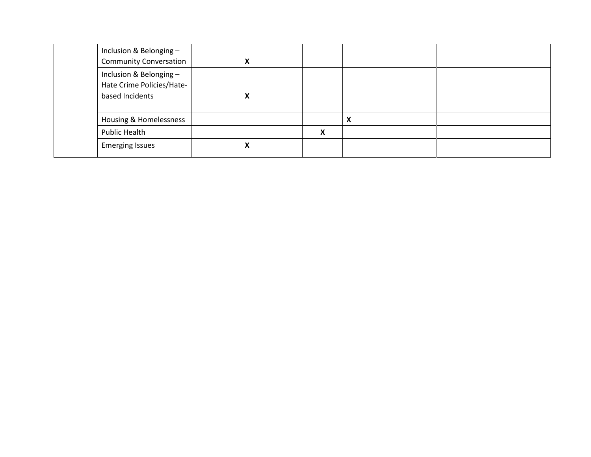| Inclusion & Belonging-<br><b>Community Conversation</b>                |   |   |                           |  |
|------------------------------------------------------------------------|---|---|---------------------------|--|
| Inclusion & Belonging-<br>Hate Crime Policies/Hate-<br>based Incidents | Λ |   |                           |  |
| Housing & Homelessness                                                 |   |   | $\boldsymbol{\mathsf{A}}$ |  |
| Public Health                                                          |   | X |                           |  |
| <b>Emerging Issues</b>                                                 |   |   |                           |  |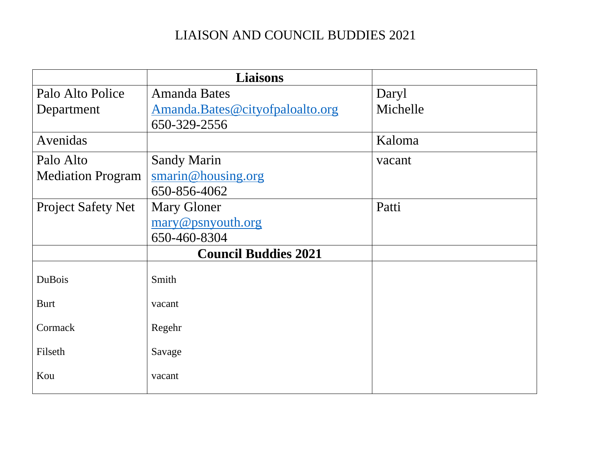## LIAISON AND COUNCIL BUDDIES 2021

|                           | <b>Liaisons</b>                        |          |
|---------------------------|----------------------------------------|----------|
| Palo Alto Police          | <b>Amanda Bates</b>                    | Daryl    |
| Department                | <u>Amanda.Bates@cityofpaloalto.org</u> | Michelle |
|                           | 650-329-2556                           |          |
| Avenidas                  |                                        | Kaloma   |
| Palo Alto                 | <b>Sandy Marin</b>                     | vacant   |
| <b>Mediation Program</b>  | $s$ marin@housing.org                  |          |
|                           | 650-856-4062                           |          |
| <b>Project Safety Net</b> | <b>Mary Gloner</b>                     | Patti    |
|                           | mary@psnyouth.org                      |          |
|                           | 650-460-8304                           |          |
|                           | <b>Council Buddies 2021</b>            |          |
| <b>DuBois</b>             | Smith                                  |          |
| <b>Burt</b>               | vacant                                 |          |
| Cormack                   | Regehr                                 |          |
| Filseth                   | Savage                                 |          |
| Kou                       | vacant                                 |          |